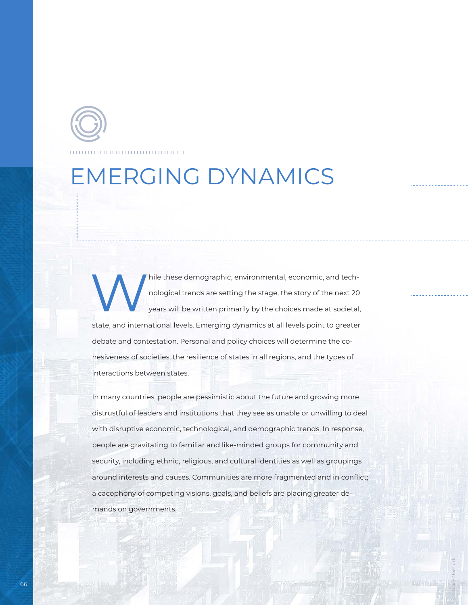## EMERGING DYNAMICS

hile these demographic, environmental, economic, and technological trends are setting the stage, the story of the next 20 years will be written primarily by the choices made at societal, state, and international levels. Emerging dynamics at all levels point to greater debate and contestation. Personal and policy choices will determine the cohesiveness of societies, the resilience of states in all regions, and the types of interactions between states.

In many countries, people are pessimistic about the future and growing more distrustful of leaders and institutions that they see as unable or unwilling to deal with disruptive economic, technological, and demographic trends. In response, people are gravitating to familiar and like-minded groups for community and security, including ethnic, religious, and cultural identities as well as groupings around interests and causes. Communities are more fragmented and in conflict; a cacophony of competing visions, goals, and beliefs are placing greater demands on governments.

Image / Bigstock